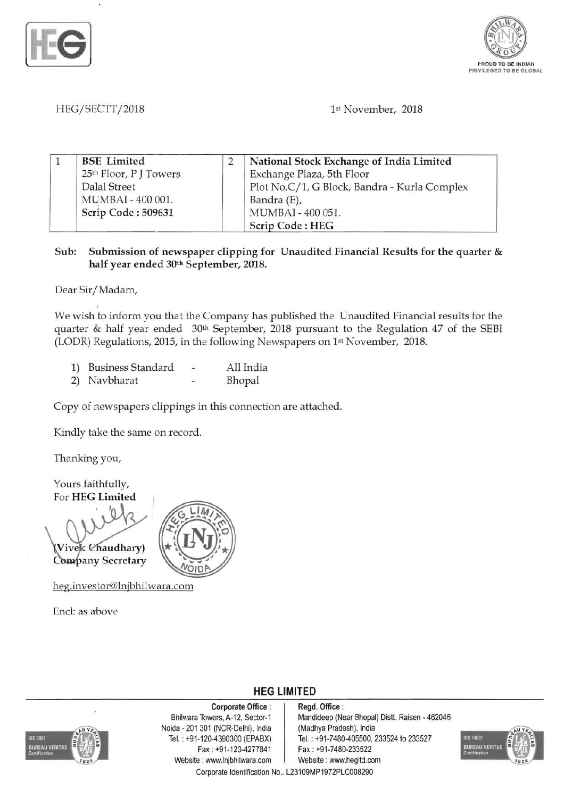



# *HEG/SECTT12018*  1st November, 2018

| <b>BSE</b> Limited                 | National Stock Exchange of India Limited     |
|------------------------------------|----------------------------------------------|
| 25 <sup>th</sup> Floor, P J Towers | Exchange Plaza, 5th Floor                    |
| Dalal Street                       | Plot No.C/1, G Block, Bandra - Kurla Complex |
| MUMBAI - 400 001.                  | Bandra (E),                                  |
| Scrip Code: 509631                 | MUMBAI - 400 051.                            |
|                                    | <b>Scrip Code: HEG</b>                       |

## Sub: Submission of newspaper clipping for Unaudited Financial Results for the quarter  $\&$ half year ended 30th September, 2018.

Dear Sir/Madam,

We wish to inform you that the Company has published the Unaudited Financial results for the quarter & half year ended 30th September, 2018 pursuant to the Regulation 47 of the SEBI (LODR) Regulations, 2015, in the following Newspapers on 1st November, 2018.

| 1) | <b>Business Standard</b> | All India |  |  |
|----|--------------------------|-----------|--|--|
|    | 2) Navbharat             | Bhopal    |  |  |

Copy of newspapers clippings in this connection are attached.

Kindly take the same on record.

Thanking you,

Yours faithfully, For HEG Limited

Vivek Chaudhary) Company Secretary

heg.investor@lnjbhilwara.com

Encl: as above



# **HEG LIMITED**

REAU VERITAS

Corporate Office : | Regd. Office : Noida - 201 301 (NCR-Delhi), India (Madhya Pradesh), India<br>Tel.: +91-120-4390300 (EPABX) Tel.: +91-7480-405500, 2 Fax : +91-120-4277841 Fax : +91-7480-233522 Website : www.lnjbhilwara.com | Website : www.hegltd.com

Bhilwara Towers, A-12, Sector-1 Mandideep (Near Bhopal) Distt. Raisen - 462046 Tel.: +91-7480-405500, 233524 to 233527



Corporate Identification No.. L23109MP1972PLC008290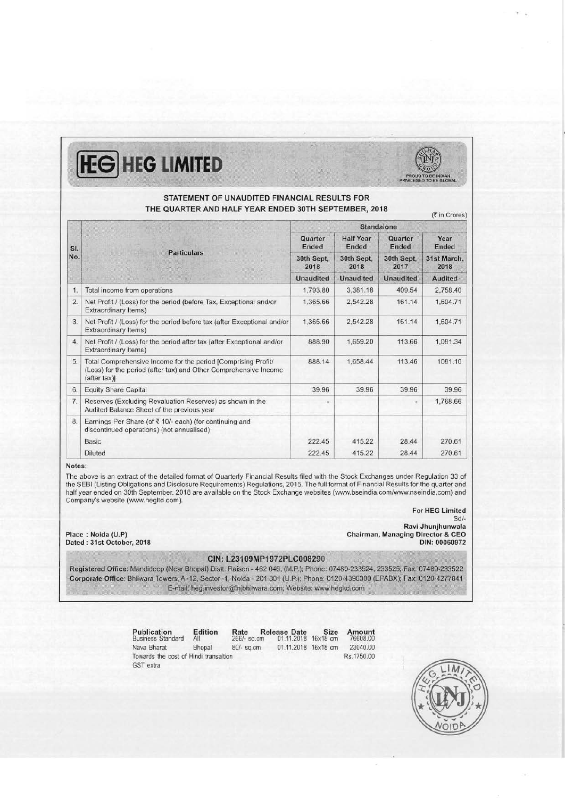# **HEG HEG LIMITED**



(₹ in Crores)

### STATEMENT OF UNAUDITED FINANCIAL RESULTS FOR THE QUARTER AND HALF YEAR ENDED 30TH SEPTEMBER, 2018

|     |                                                                                                                                                   |                    |                           | Standalone              |                     |
|-----|---------------------------------------------------------------------------------------------------------------------------------------------------|--------------------|---------------------------|-------------------------|---------------------|
| SI. |                                                                                                                                                   | Quarter<br>Ended   | <b>Half Year</b><br>Ended | <b>Quarter</b><br>Ended | Year<br>Ended       |
| No. | <b>Particulars</b>                                                                                                                                | 30th Sept.<br>2018 | 30th Sept.<br>2018        | 30th Sept.<br>2017      | 31st March.<br>2018 |
|     |                                                                                                                                                   | <b>Unaudited</b>   | <b>Unaudited</b>          | <b>Unaudited</b>        | <b>Audited</b>      |
| 1.  | Total income from operations                                                                                                                      | 1,793.80           | 3,381.18                  | 409.54                  | 2,758.40            |
| 2.  | Net Profit / (Loss) for the period (before Tax, Exceptional and/or<br>Extraordinary Items)                                                        | 1,365.66           | 2,542.28                  | 161.14                  | 1,604.71            |
| 3.  | Net Profit / (Loss) for the period before tax (after Exceptional and/or<br>Extraordinary Items)                                                   | 1,365.66           | 2,542.28                  | 161.14                  | 1,604.71            |
| 4.1 | Net Profit / (Loss) for the period after tax (after Exceptional and/or<br>Extraordinary Items)                                                    | 888.90             | 1,659.20                  | 113.66                  | 1,081.34            |
| 5.  | Total Comprehensive Income for the period [Comprising Profit/<br>(Loss) for the period (after tax) and Other Comprehensive Income<br>(after tax)] | 888.14             | 1.658.44                  | 113.46                  | 1081.10             |
| 6.  | <b>Equity Share Capital</b>                                                                                                                       | 39.96              | 39.96                     | 39.96                   | 39.96               |
| 7.  | Reserves (Excluding Revaluation Reserves) as shown in the<br>Audited Balance Sheet of the previous year                                           | ٠                  |                           | ۰                       | 1,768.66            |
| 8.  | Earnings Per Share (of ₹10/- each) (for continuing and<br>discontinued operations) (not annualised)                                               |                    |                           |                         |                     |
|     | Basic                                                                                                                                             | 222.45             | 415.22                    | 28.44                   | 270.61              |
|     | Diluted                                                                                                                                           | 222.45             | 415.22                    | 28.44                   | 270.61              |

### Notes:

The above is an extract of the detailed format of Quarterly Financial Results filed with the Stock Exchanges under Regulation 33 of the SEBI (Listing Obligations and Disclosure Requirements) Regulations, 2015. The full format of Financial Results for the quarter and half year ended on 30th September, 2018 are available on the Stock Exchange websites (www.bseindia.com/www.nseindia.com) and Company's website (www.hegltd.com).

For HEG Limited

Dated: 31st October, 2018

*Sd/* Ravi Jhunjhunwala Place: Noida (U.P) Chairman, Managing Director & CEO

### CIN: L23109MP1972PLC008290

Registered Office: Mandideep (Near Bhopal) Distt. Raisen - 462 046, (M.P.); Phone: 07480-233524, 233525; Fax: 07480-233522 Corporate Office: Bhilwara Towers, A-12, Sector -1, Noida - 201 301 (U.P.); Phone: 0120-4390300 (EPABX); Fax: 0120-4277841 E-mail: heg.investor@Injbhilwara.com; Website: www.hegltd.com

> Publication Edition Rate Release Date Size Amount Business Standard All 266/- sq.cm 01.11.2018 16x18 cm 76608.00 Nava Bharat Bhopal 80/- sq.cm 01.11.2018 16x18 cm 23040.00 Towards the cost of Hindi transaltion Rs.1750.00 GST extra